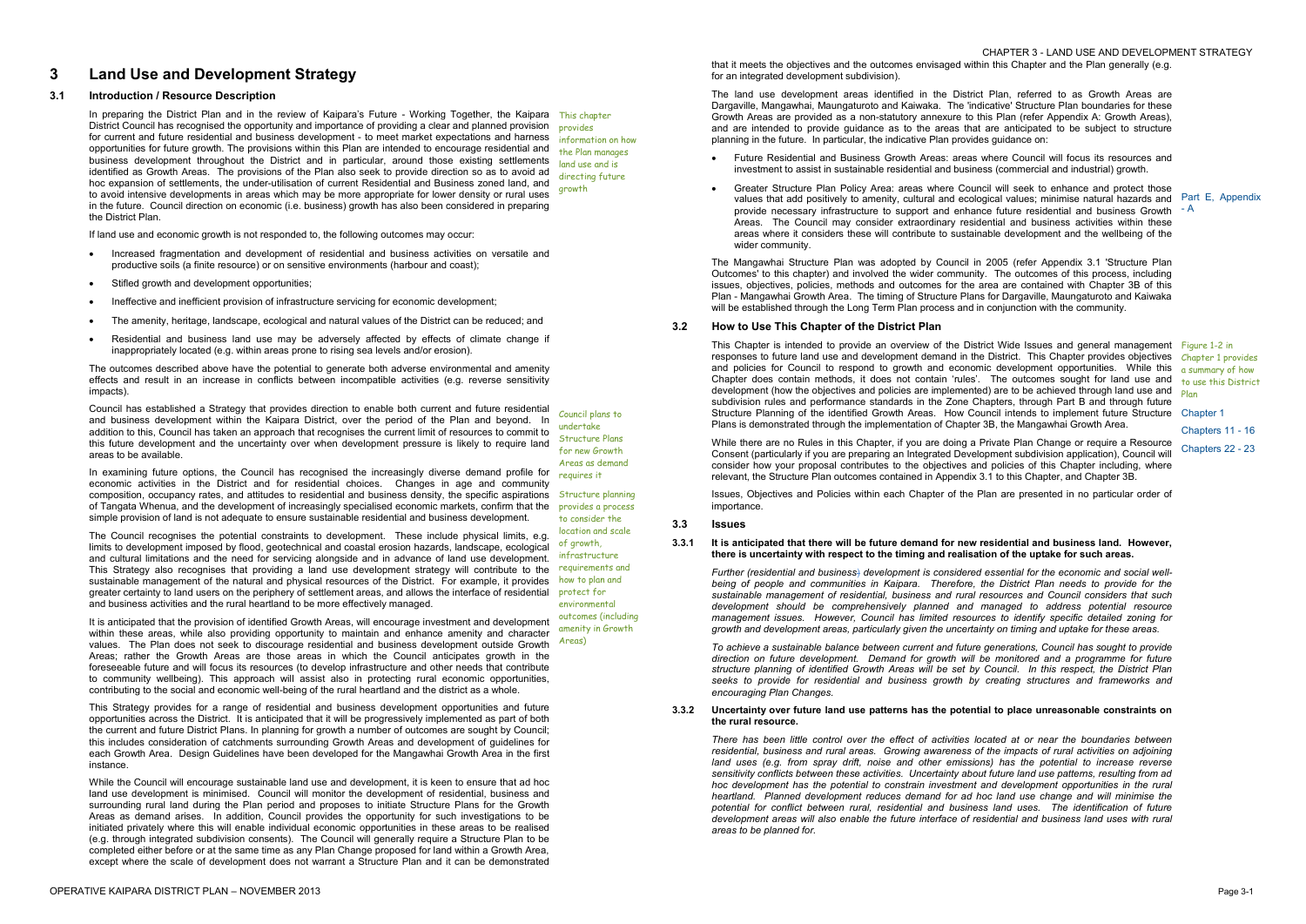# **3 Land Use and Development Strategy**

# **3.1 Introduction / Resource Description**

If land use and economic growth is not responded to, the following outcomes may occur:

- · Increased fragmentation and development of residential and business activities on versatile and productive soils (a finite resource) or on sensitive environments (harbour and coast);
- Stifled growth and development opportunities;
- · Ineffective and inefficient provision of infrastructure servicing for economic development;
- The amenity, heritage, landscape, ecological and natural values of the District can be reduced; and
- · Residential and business land use may be adversely affected by effects of climate change if inappropriately located (e.g. within areas prone to rising sea levels and/or erosion).

The outcomes described above have the potential to generate both adverse environmental and amenity effects and result in an increase in conflicts between incompatible activities (e.g. reverse sensitivity impacts).

Council has established a Strategy that provides direction to enable both current and future residential and business development within the Kaipara District, over the period of the Plan and beyond. In addition to this, Council has taken an approach that recognises the current limit of resources to commit to this future development and the uncertainty over when development pressure is likely to require land areas to be available.

In examining future options, the Council has recognised the increasingly diverse demand profile for economic activities in the District and for residential choices. Changes in age and community composition, occupancy rates, and attitudes to residential and business density, the specific aspirations Structure planning of Tangata Whenua, and the development of increasingly specialised economic markets, confirm that the provides a process simple provision of land is not adequate to ensure sustainable residential and business development.

In preparing the District Plan and in the review of Kaipara's Future - Working Together, the Kaipara This chapter District Council has recognised the opportunity and importance of providing a clear and planned provision provides for current and future residential and business development - to meet market expectations and harness information on how opportunities for future growth. The provisions within this Plan are intended to encourage residential and business development throughout the District and in particular, around those existing settlements identified as Growth Areas. The provisions of the Plan also seek to provide direction so as to avoid ad hoc expansion of settlements, the under-utilisation of current Residential and Business zoned land, and to avoid intensive developments in areas which may be more appropriate for lower density or rural uses in the future. Council direction on economic (i.e. business) growth has also been considered in preparing the District Plan. growth

 CHAPTER 3 - LAND USE AND DEVELOPMENT STRATEGY that it meets the objectives and the outcomes envisaged within this Chapter and the Plan generally (e.g. for an integrated development subdivision).

The Council recognises the potential constraints to development. These include physical limits, e.g. limits to development imposed by flood, geotechnical and coastal erosion hazards, landscape, ecological and cultural limitations and the need for servicing alongside and in advance of land use development. This Strategy also recognises that providing a land use development strategy will contribute to the sustainable management of the natural and physical resources of the District. For example, it provides greater certainty to land users on the periphery of settlement areas, and allows the interface of residential and business activities and the rural heartland to be more effectively managed.

This Chapter is intended to provide an overview of the District Wide Issues and general management Figure 1-2 in responses to future land use and development demand in the District. This Chapter provides objectives and policies for Council to respond to growth and economic development opportunities. While this Chapter does contain methods, it does not contain 'rules'. The outcomes sought for land use and development (how the objectives and policies are implemented) are to be achieved through land use and subdivision rules and performance standards in the Zone Chapters, through Part B and through future Structure Planning of the identified Growth Areas. How Council intends to implement future Structure Chapter 1 Plans is demonstrated through the implementation of Chapter 3B, the Mangawhai Growth Area.

This Strategy provides for a range of residential and business development opportunities and future opportunities across the District. It is anticipated that it will be progressively implemented as part of both the current and future District Plans. In planning for growth a number of outcomes are sought by Council; this includes consideration of catchments surrounding Growth Areas and development of guidelines for each Growth Area. Design Guidelines have been developed for the Mangawhai Growth Area in the first instance.

It is anticipated that the provision of identified Growth Areas, will encourage investment and development within these areas, while also providing opportunity to maintain and enhance amenity and character values. The Plan does not seek to discourage residential and business development outside Growth Areas) Areas; rather the Growth Areas are those areas in which the Council anticipates growth in the foreseeable future and will focus its resources (to develop infrastructure and other needs that contribute to community wellbeing). This approach will assist also in protecting rural economic opportunities, contributing to the social and economic well-being of the rural heartland and the district as a whole. amenity in Growth

While the Council will encourage sustainable land use and development, it is keen to ensure that ad hoc land use development is minimised. Council will monitor the development of residential, business and surrounding rural land during the Plan period and proposes to initiate Structure Plans for the Growth Areas as demand arises. In addition, Council provides the opportunity for such investigations to be initiated privately where this will enable individual economic opportunities in these areas to be realised (e.g. through integrated subdivision consents). The Council will generally require a Structure Plan to be completed either before or at the same time as any Plan Change proposed for land within a Growth Area, except where the scale of development does not warrant a Structure Plan and it can be demonstrated

the Plan manages land use and is directing future

Council plans to undertake Structure Plans for new Growth Areas as demand requires it

to consider the location and scale of growth, infrastructure requirements and how to plan and protect for environmental outcomes (including

The land use development areas identified in the District Plan, referred to as Growth Areas are Dargaville, Mangawhai, Maungaturoto and Kaiwaka. The 'indicative' Structure Plan boundaries for these Growth Areas are provided as a non-statutory annexure to this Plan (refer Appendix A: Growth Areas), and are intended to provide guidance as to the areas that are anticipated to be subject to structure planning in the future. In particular, the indicative Plan provides guidance on:

- · Future Residential and Business Growth Areas: areas where Council will focus its resources and investment to assist in sustainable residential and business (commercial and industrial) growth.
- · Greater Structure Plan Policy Area: areas where Council will seek to enhance and protect those values that add positively to amenity, cultural and ecological values; minimise natural hazards and Part E, Appendix provide necessary infrastructure to support and enhance future residential and business Growth  $- A$ Areas. The Council may consider extraordinary residential and business activities within these areas where it considers these will contribute to sustainable development and the wellbeing of the wider community.

The Mangawhai Structure Plan was adopted by Council in 2005 (refer Appendix 3.1 'Structure Plan Outcomes' to this chapter) and involved the wider community. The outcomes of this process, including issues, objectives, policies, methods and outcomes for the area are contained with Chapter 3B of this Plan - Mangawhai Growth Area. The timing of Structure Plans for Dargaville, Maungaturoto and Kaiwaka will be established through the Long Term Plan process and in conjunction with the community.

#### **3.2 How to Use This Chapter of the District Plan**

While there are no Rules in this Chapter, if you are doing a Private Plan Change or require a Resource Consent (particularly if you are preparing an Integrated Development subdivision application), Council will consider how your proposal contributes to the objectives and policies of this Chapter including, where relevant, the Structure Plan outcomes contained in Appendix 3.1 to this Chapter, and Chapter 3B.

Issues, Objectives and Policies within each Chapter of the Plan are presented in no particular order of importance.

Chapter 1 provides a summary of how to use this District Plan

Chapters 11 - 16 Chapters 22 - 23

#### **3.3 Issues**

# **3.3.1 It is anticipated that there will be future demand for new residential and business land. However, there is uncertainty with respect to the timing and realisation of the uptake for such areas.**

*Further (residential and business*) *development is considered essential for the economic and social wellbeing of people and communities in Kaipara. Therefore, the District Plan needs to provide for the sustainable management of residential, business and rural resources and Council considers that such development should be comprehensively planned and managed to address potential resource management issues. However, Council has limited resources to identify specific detailed zoning for growth and development areas, particularly given the uncertainty on timing and uptake for these areas.* 

*To achieve a sustainable balance between current and future generations, Council has sought to provide direction on future development. Demand for growth will be monitored and a programme for future structure planning of identified Growth Areas will be set by Council. In this respect, the District Plan seeks to provide for residential and business growth by creating structures and frameworks and encouraging Plan Changes.*

#### **3.3.2 Uncertainty over future land use patterns has the potential to place unreasonable constraints on the rural resource.**

*There has been little control over the effect of activities located at or near the boundaries between residential, business and rural areas. Growing awareness of the impacts of rural activities on adjoining land uses (e.g. from spray drift, noise and other emissions) has the potential to increase reverse sensitivity conflicts between these activities. Uncertainty about future land use patterns, resulting from ad hoc development has the potential to constrain investment and development opportunities in the rural heartland. Planned development reduces demand for ad hoc land use change and will minimise the potential for conflict between rural, residential and business land uses. The identification of future development areas will also enable the future interface of residential and business land uses with rural areas to be planned for.*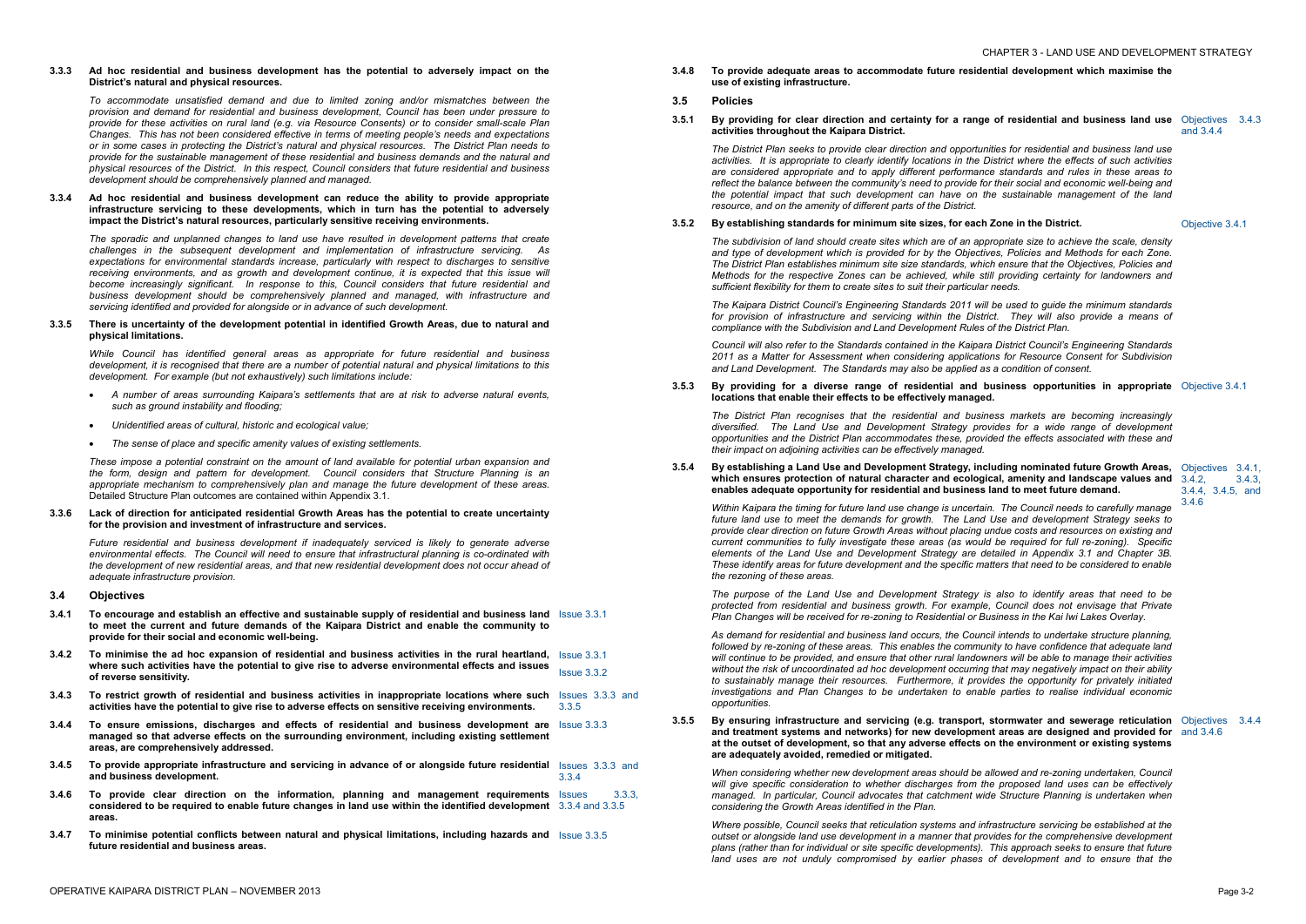#### **3.3.3 Ad hoc residential and business development has the potential to adversely impact on the District's natural and physical resources.**

*To accommodate unsatisfied demand and due to limited zoning and/or mismatches between the provision and demand for residential and business development, Council has been under pressure to provide for these activities on rural land (e.g. via Resource Consents) or to consider small-scale Plan Changes. This has not been considered effective in terms of meeting people's needs and expectations or in some cases in protecting the District's natural and physical resources. The District Plan needs to provide for the sustainable management of these residential and business demands and the natural and physical resources of the District. In this respect, Council considers that future residential and business development should be comprehensively planned and managed.* 

# **3.3.4 Ad hoc residential and business development can reduce the ability to provide appropriate infrastructure servicing to these developments, which in turn has the potential to adversely impact the District's natural resources, particularly sensitive receiving environments.**

*The sporadic and unplanned changes to land use have resulted in development patterns that create challenges in the subsequent development and implementation of infrastructure servicing. As expectations for environmental standards increase, particularly with respect to discharges to sensitive receiving environments, and as growth and development continue, it is expected that this issue will become increasingly significant. In response to this, Council considers that future residential and business development should be comprehensively planned and managed, with infrastructure and servicing identified and provided for alongside or in advance of such development.* 

# **3.3.5 There is uncertainty of the development potential in identified Growth Areas, due to natural and physical limitations.**

*While Council has identified general areas as appropriate for future residential and business*  development, it is recognised that there are a number of potential natural and physical limitations to this *development. For example (but not exhaustively) such limitations include:* 

- · *A number of areas surrounding Kaipara's settlements that are at risk to adverse natural events, such as ground instability and flooding;*
- · *Unidentified areas of cultural, historic and ecological value;*
- · *The sense of place and specific amenity values of existing settlements.*

*These impose a potential constraint on the amount of land available for potential urban expansion and the form, design and pattern for development. Council considers that Structure Planning is an appropriate mechanism to comprehensively plan and manage the future development of these areas.*  Detailed Structure Plan outcomes are contained within Appendix 3.1.

#### **3.3.6 Lack of direction for anticipated residential Growth Areas has the potential to create uncertainty for the provision and investment of infrastructure and services.**

The subdivision of land should create sites which are of an appropriate size to achieve the scale, density *and type of development which is provided for by the Objectives, Policies and Methods for each Zone. The District Plan establishes minimum site size standards, which ensure that the Objectives, Policies and Methods for the respective Zones can be achieved, while still providing certainty for landowners and sufficient flexibility for them to create sites to suit their particular needs.* 

*Future residential and business development if inadequately serviced is likely to generate adverse environmental effects. The Council will need to ensure that infrastructural planning is co-ordinated with the development of new residential areas, and that new residential development does not occur ahead of adequate infrastructure provision.* 

# **3.4 Objectives**

- **3.4.1 To encourage and establish an effective and sustainable supply of residential and business land**  Issue 3.3.1 **to meet the current and future demands of the Kaipara District and enable the community to provide for their social and economic well-being.**
- 3.4.2 To minimise the ad hoc expansion of residential and business activities in the rural heartland,  $\,$  Issue 3.3.1 **where such activities have the potential to give rise to adverse environmental effects and issues of reverse sensitivity.**  Issue 3.3.2
- **3.4.3 To restrict growth of residential and business activities in inappropriate locations where such**  Issues 3.3.3 and **activities have the potential to give rise to adverse effects on sensitive receiving environments.**  3.3.5
- **3.4.4 To ensure emissions, discharges and effects of residential and business development are**  Issue 3.3.3 **managed so that adverse effects on the surrounding environment, including existing settlement areas, are comprehensively addressed.**
- **3.4.5 To provide appropriate infrastructure and servicing in advance of or alongside future residential**  Issues 3.3.3 and **and business development.**  3.3.4
- **3.4.6 To provide clear direction on the information, planning and management requirements**  Issues 3.3.3, **considered to be required to enable future changes in land use within the identified development** 3.3.4 and 3.3.5 **areas.**
- **3.4.7 To minimise potential conflicts between natural and physical limitations, including hazards and**  Issue 3.3.5 **future residential and business areas.**

*When* considering whether new development areas should be allowed and re-zoning undertaken, Council *will give specific consideration to whether discharges from the proposed land uses can be effectively managed. In particular, Council advocates that catchment wide Structure Planning is undertaken when considering the Growth Areas identified in the Plan.* 

- **3.4.8 To provide adequate areas to accommodate future residential development which maximise the use of existing infrastructure.**
- **3.5 Policies**
- 3.5.1 By providing for clear direction and certainty for a range of residential and business land use Objectives 3.4.3 **activities throughout the Kaipara District.**

and 3.4.4

*The District Plan seeks to provide clear direction and opportunities for residential and business land use*  activities. It is appropriate to clearly identify locations in the District where the effects of such activities *are considered appropriate and to apply different performance standards and rules in these areas to reflect the balance between the community's need to provide for their social and economic well-being and the potential impact that such development can have on the sustainable management of the land resource, and on the amenity of different parts of the District.* 

# **3.5.2 By establishing standards for minimum site sizes, for each Zone in the District.** Objective 3.4.1

*The Kaipara District Council's Engineering Standards 2011 will be used to guide the minimum standards for provision of infrastructure and servicing within the District. They will also provide a means of compliance with the Subdivision and Land Development Rules of the District Plan.* 

*Council will also refer to the Standards contained in the Kaipara District Council's Engineering Standards 2011 as a Matter for Assessment when considering applications for Resource Consent for Subdivision and Land Development. The Standards may also be applied as a condition of consent.* 

**3.5.3 By providing for a diverse range of residential and business opportunities in appropriate**  Objective 3.4.1 **locations that enable their effects to be effectively managed.** 

*The District Plan recognises that the residential and business markets are becoming increasingly diversified. The Land Use and Development Strategy provides for a wide range of development opportunities and the District Plan accommodates these, provided the effects associated with these and their impact on adjoining activities can be effectively managed.* 

## **3.5.4 By establishing a Land Use and Development Strategy, including nominated future Growth Areas,**  Objectives 3.4.1, **which ensures protection of natural character and ecological, amenity and landscape values and**  3.4.2, 3.4.3, **enables adequate opportunity for residential and business land to meet future demand.**

3.4.4, 3.4.5, and

3.4.6 *Within Kaipara the timing for future land use change is uncertain. The Council needs to carefully manage future land use to meet the demands for growth. The Land Use and development Strategy seeks to provide clear direction on future Growth Areas without placing undue costs and resources on existing and current communities to fully investigate these areas (as would be required for full re-zoning). Specific elements of the Land Use and Development Strategy are detailed in Appendix 3.1 and Chapter 3B. These identify areas for future development and the specific matters that need to be considered to enable the rezoning of these areas.* 

*The purpose of the Land Use and Development Strategy is also to identify areas that need to be protected from residential and business growth. For example, Council does not envisage that Private Plan Changes will be received for re-zoning to Residential or Business in the Kai Iwi Lakes Overlay.* 

*As demand for residential and business land occurs, the Council intends to undertake structure planning, followed by re-zoning of these areas. This enables the community to have confidence that adequate land*  will continue to be provided, and ensure that other rural landowners will be able to manage their activities *without the risk of uncoordinated ad hoc development occurring that may negatively impact on their ability to sustainably manage their resources. Furthermore, it provides the opportunity for privately initiated investigations and Plan Changes to be undertaken to enable parties to realise individual economic opportunities.* 

**3.5.5 By ensuring infrastructure and servicing (e.g. transport, stormwater and sewerage reticulation**  Objectives 3.4.4 **and treatment systems and networks) for new development areas are designed and provided for**  and 3.4.6 **at the outset of development, so that any adverse effects on the environment or existing systems are adequately avoided, remedied or mitigated.** 

*Where possible, Council seeks that reticulation systems and infrastructure servicing be established at the outset or alongside land use development in a manner that provides for the comprehensive development plans (rather than for individual or site specific developments). This approach seeks to ensure that future land uses are not unduly compromised by earlier phases of development and to ensure that the*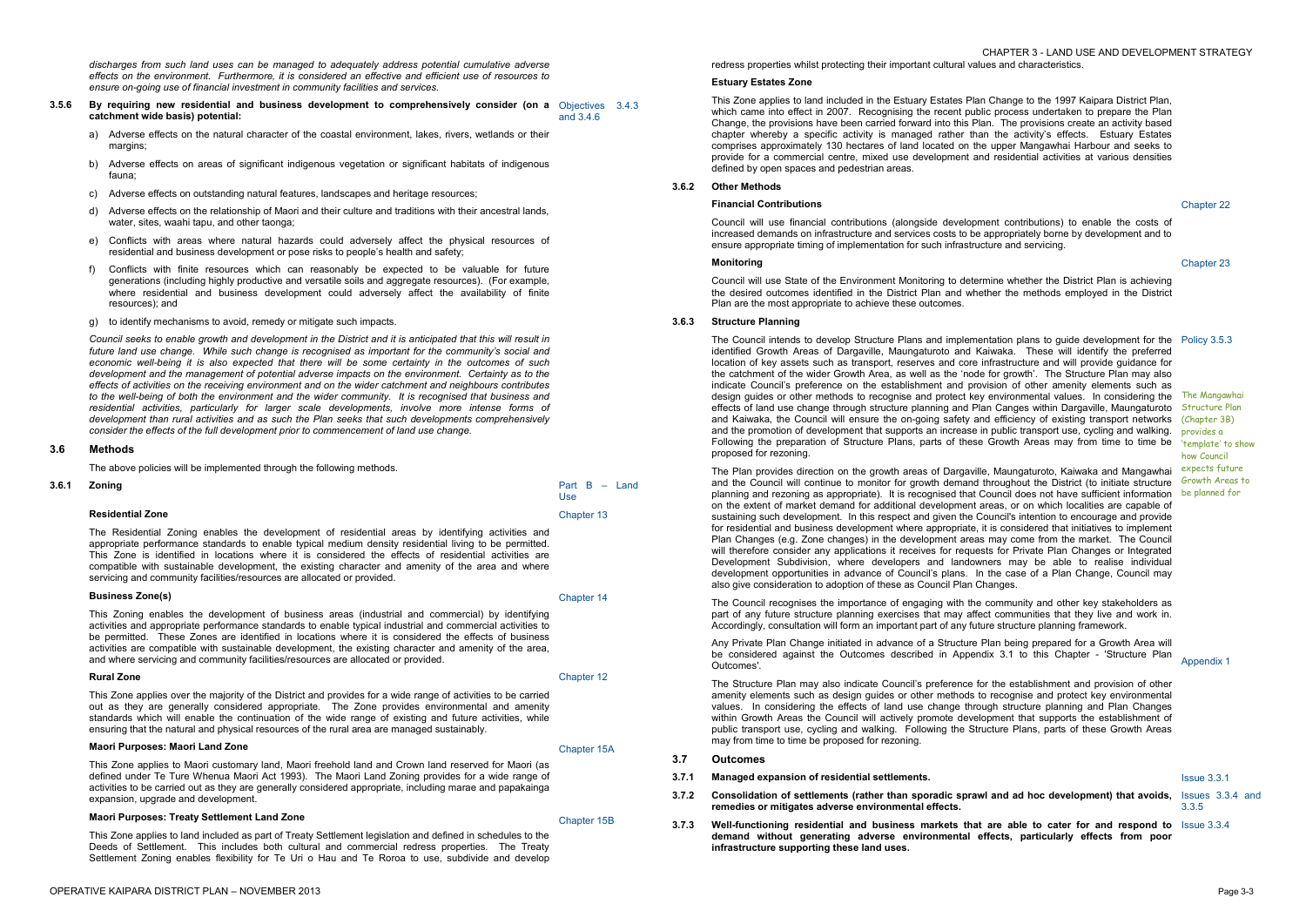*discharges from such land uses can be managed to adequately address potential cumulative adverse effects on the environment. Furthermore, it is considered an effective and efficient use of resources to ensure on-going use of financial investment in community facilities and services.* 

- **3.5.6 By requiring new residential and business development to comprehensively consider (on a**  Objectives 3.4.3 **catchment wide basis) potential:**  and 3.4.6
	- a) Adverse effects on the natural character of the coastal environment, lakes, rivers, wetlands or their margins;
	- b) Adverse effects on areas of significant indigenous vegetation or significant habitats of indigenous fauna;
	- c) Adverse effects on outstanding natural features, landscapes and heritage resources;
	- d) Adverse effects on the relationship of Maori and their culture and traditions with their ancestral lands, water, sites, waahi tapu, and other taonga;
	- e) Conflicts with areas where natural hazards could adversely affect the physical resources of residential and business development or pose risks to people's health and safety;
	- f) Conflicts with finite resources which can reasonably be expected to be valuable for future generations (including highly productive and versatile soils and aggregate resources). (For example, where residential and business development could adversely affect the availability of finite resources); and
	- g) to identify mechanisms to avoid, remedy or mitigate such impacts.

Council seeks to enable growth and development in the District and it is anticipated that this will result in *future land use change. While such change is recognised as important for the community's social and economic well-being it is also expected that there will be some certainty in the outcomes of such development and the management of potential adverse impacts on the environment. Certainty as to the effects of activities on the receiving environment and on the wider catchment and neighbours contributes to the well-being of both the environment and the wider community. It is recognised that business and residential activities, particularly for larger scale developments, involve more intense forms of development than rural activities and as such the Plan seeks that such developments comprehensively consider the effects of the full development prior to commencement of land use change.* 

 CHAPTER 3 - LAND USE AND DEVELOPMENT STRATEGY redress properties whilst protecting their important cultural values and characteristics.

# **3.6 Methods**

The above policies will be implemented through the following methods.

The Residential Zoning enables the development of residential areas by identifying activities and appropriate performance standards to enable typical medium density residential living to be permitted. This Zone is identified in locations where it is considered the effects of residential activities are compatible with sustainable development, the existing character and amenity of the area and where servicing and community facilities/resources are allocated or provided.

| 3.6.1 | Zoning                  | Part $B -$ Land<br>Use |
|-------|-------------------------|------------------------|
|       | <b>Residential Zone</b> | Chapter 13             |

#### **Business Zone(s)**

This Zoning enables the development of business areas (industrial and commercial) by identifying activities and appropriate performance standards to enable typical industrial and commercial activities to be permitted. These Zones are identified in locations where it is considered the effects of business activities are compatible with sustainable development, the existing character and amenity of the area, and where servicing and community facilities/resources are allocated or provided.

# **Rural Zone**

This Zone applies over the majority of the District and provides for a wide range of activities to be carried out as they are generally considered appropriate. The Zone provides environmental and amenity standards which will enable the continuation of the wide range of existing and future activities, while ensuring that the natural and physical resources of the rural area are managed sustainably.

# **Maori Purposes: Maori Land Zone**

This Zone applies to Maori customary land, Maori freehold land and Crown land reserved for Maori (as defined under Te Ture Whenua Maori Act 1993). The Maori Land Zoning provides for a wide range of activities to be carried out as they are generally considered appropriate, including marae and papakainga expansion, upgrade and development.

#### **Maori Purposes: Treaty Settlement Land Zone**

This Zone applies to land included as part of Treaty Settlement legislation and defined in schedules to the Deeds of Settlement. This includes both cultural and commercial redress properties. The Treaty Settlement Zoning enables flexibility for Te Uri o Hau and Te Roroa to use, subdivide and develop

Chapter 12

Chapter 15A

Chapter 15B

# **Estuary Estates Zone**

This Zone applies to land included in the Estuary Estates Plan Change to the 1997 Kaipara District Plan, which came into effect in 2007. Recognising the recent public process undertaken to prepare the Plan Change, the provisions have been carried forward into this Plan. The provisions create an activity based chapter whereby a specific activity is managed rather than the activity's effects. Estuary Estates comprises approximately 130 hectares of land located on the upper Mangawhai Harbour and seeks to provide for a commercial centre, mixed use development and residential activities at various densities defined by open spaces and pedestrian areas.

# **3.6.2 Other Methods**

# **Financial Contributions**

Council will use financial contributions (alongside development contributions) to enable the costs of increased demands on infrastructure and services costs to be appropriately borne by development and to ensure appropriate timing of implementation for such infrastructure and servicing.

Chapter 22

# **Monitoring**

Council will use State of the Environment Monitoring to determine whether the District Plan is achieving the desired outcomes identified in the District Plan and whether the methods employed in the District Plan are the most appropriate to achieve these outcomes.

Chapter 23

# **3.6.3 Structure Planning**

The Council intends to develop Structure Plans and implementation plans to guide development for the Policy 3.5.3 identified Growth Areas of Dargaville, Maungaturoto and Kaiwaka. These will identify the preferred location of key assets such as transport, reserves and core infrastructure and will provide guidance for the catchment of the wider Growth Area, as well as the 'node for growth'. The Structure Plan may also indicate Council's preference on the establishment and provision of other amenity elements such as design guides or other methods to recognise and protect key environmental values. In considering the The Mangawhai effects of land use change through structure planning and Plan Canges within Dargaville, Maungaturoto Structure Plan and Kaiwaka, the Council will ensure the on-going safety and efficiency of existing transport networks (Chapter 3B) and the promotion of development that supports an increase in public transport use, cycling and walking. Following the preparation of Structure Plans, parts of these Growth Areas may from time to time be proposed for rezoning.

The Plan provides direction on the growth areas of Dargaville, Maungaturoto, Kaiwaka and Mangawhai and the Council will continue to monitor for growth demand throughout the District (to initiate structure *Growth Areas* to planning and rezoning as appropriate). It is recognised that Council does not have sufficient information be planned for on the extent of market demand for additional development areas, or on which localities are capable of sustaining such development. In this respect and given the Council's intention to encourage and provide for residential and business development where appropriate, it is considered that initiatives to implement Plan Changes (e.g. Zone changes) in the development areas may come from the market. The Council will therefore consider any applications it receives for requests for Private Plan Changes or Integrated Development Subdivision, where developers and landowners may be able to realise individual development opportunities in advance of Council's plans. In the case of a Plan Change, Council may also give consideration to adoption of these as Council Plan Changes.

The Council recognises the importance of engaging with the community and other key stakeholders as part of any future structure planning exercises that may affect communities that they live and work in. Accordingly, consultation will form an important part of any future structure planning framework.

Any Private Plan Change initiated in advance of a Structure Plan being prepared for a Growth Area will be considered against the Outcomes described in Appendix 3.1 to this Chapter - 'Structure Plan Outcomes'.

The Structure Plan may also indicate Council's preference for the establishment and provision of other amenity elements such as design guides or other methods to recognise and protect key environmental values. In considering the effects of land use change through structure planning and Plan Changes within Growth Areas the Council will actively promote development that supports the establishment of public transport use, cycling and walking. Following the Structure Plans, parts of these Growth Areas may from time to time be proposed for rezoning.

provides a 'template' to show how Council expects future

Appendix 1

# **3.7 Outcomes**

Chapter 14

# **3.7.1 Managed expansion of residential settlements.** Issue 3.3.1

3.3.5

- **3.7.2 Consolidation of settlements (rather than sporadic sprawl and ad hoc development) that avoids,**  Issues 3.3.4 and **remedies or mitigates adverse environmental effects.**
- **3.7.3 Well-functioning residential and business markets that are able to cater for and respond to**  Issue 3.3.4 **demand without generating adverse environmental effects, particularly effects from poor infrastructure supporting these land uses.**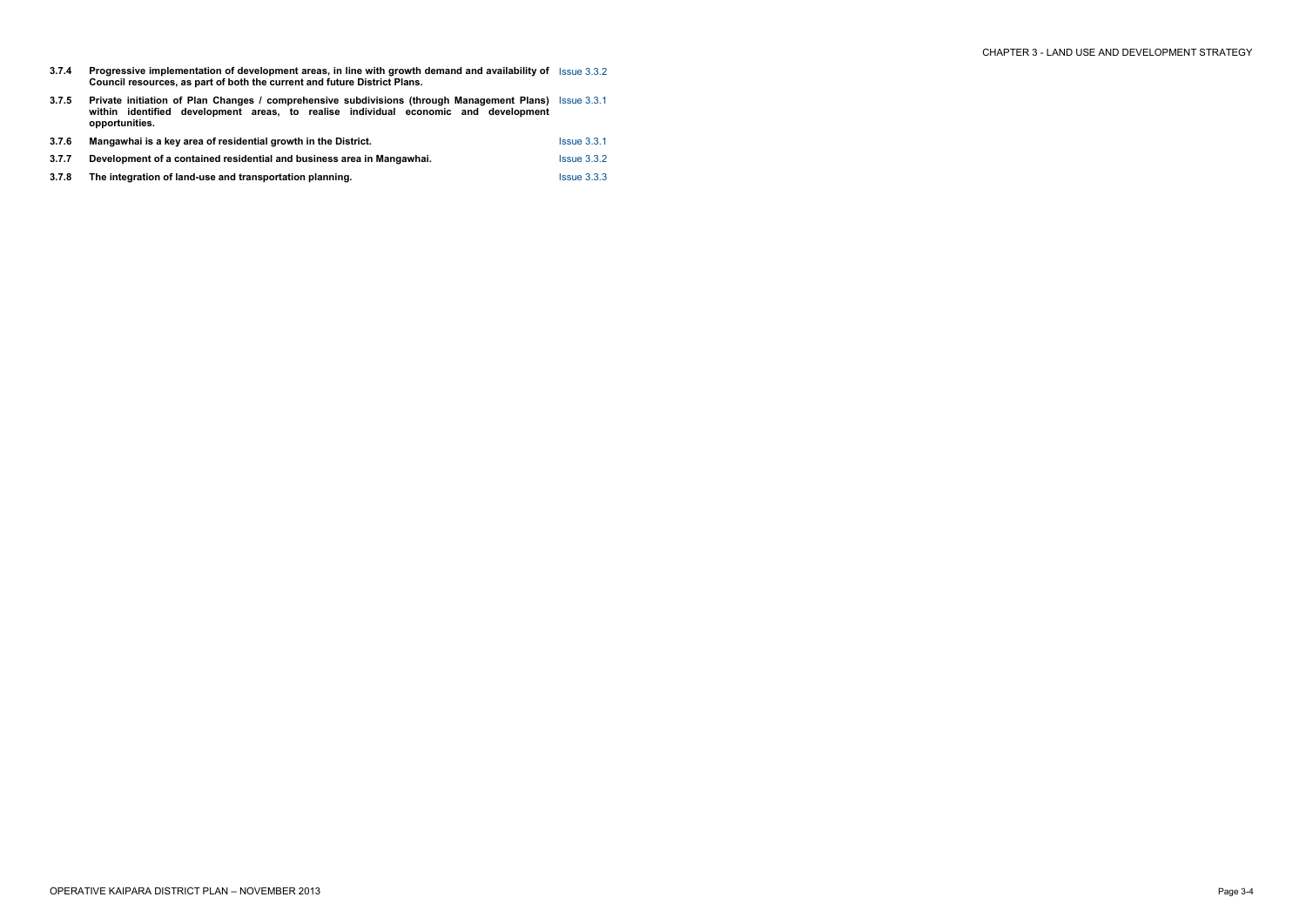**3.7.4 Progressive implementation of development areas, in line with growth demand and availability of Council resources, as part of both the current and future District Plans.**  Issue 3.3.2

| 3.7.5 | <b>Private initiation of Plan Changes / comprehensive subdivisions (through Management Plans)</b> Issue 3.3.1<br>within identified development areas, to realise individual economic and development<br>opportunities. |                         |
|-------|------------------------------------------------------------------------------------------------------------------------------------------------------------------------------------------------------------------------|-------------------------|
| 3.7.6 | Mangawhai is a key area of residential growth in the District.                                                                                                                                                         | $Is sue$ 3.3.1          |
| 3.7.7 | Development of a contained residential and business area in Mangawhai.                                                                                                                                                 | Is sue 3.3.2            |
| 3.7.8 | The integration of land-use and transportation planning.                                                                                                                                                               | Is sue <sub>3.3.3</sub> |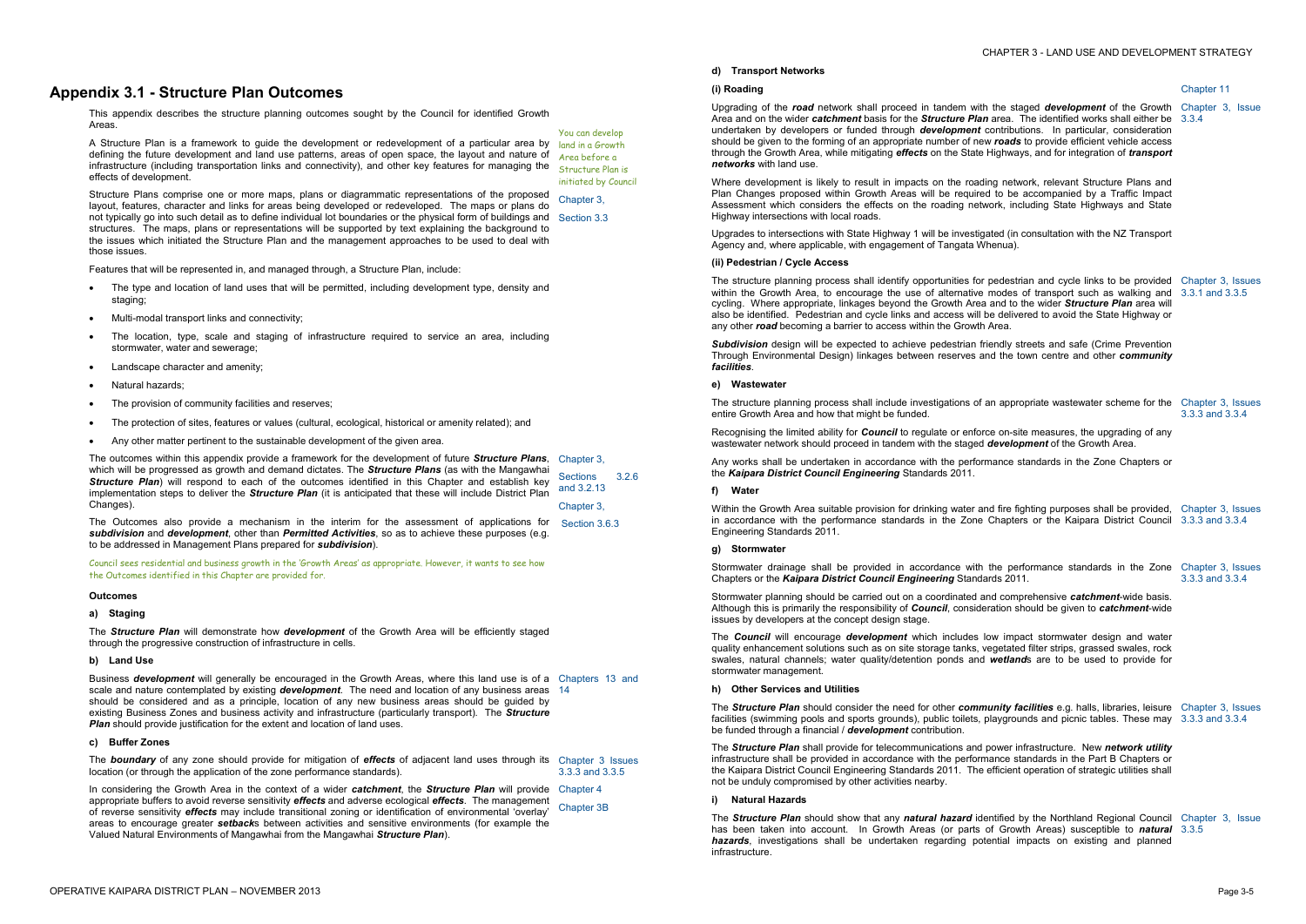# **Appendix 3.1 - Structure Plan Outcomes**

- The type and location of land uses that will be permitted, including development type, density and staging;
- · Multi-modal transport links and connectivity;
- The location, type, scale and staging of infrastructure required to service an area, including stormwater, water and sewerage;
- Landscape character and amenity;
- · Natural hazards;
- The provision of community facilities and reserves:
- The protection of sites, features or values (cultural, ecological, historical or amenity related); and
- · Any other matter pertinent to the sustainable development of the given area.

This appendix describes the structure planning outcomes sought by the Council for identified Growth Areas. You can develop

A Structure Plan is a framework to guide the development or redevelopment of a particular area by defining the future development and land use patterns, areas of open space, the layout and nature of infrastructure (including transportation links and connectivity), and other key features for managing the effects of development. Structure Plan is

Features that will be represented in, and managed through, a Structure Plan, include:

Structure Plans comprise one or more maps, plans or diagrammatic representations of the proposed layout, features, character and links for areas being developed or redeveloped. The maps or plans do not typically go into such detail as to define individual lot boundaries or the physical form of buildings and Section 3.3 structures. The maps, plans or representations will be supported by text explaining the background to the issues which initiated the Structure Plan and the management approaches to be used to deal with those issues. Chapter 3,

The Outcomes also provide a mechanism in the interim for the assessment of applications for Section 3.6.3 *subdivision* and *development*, other than *Permitted Activities*, so as to achieve these purposes (e.g. to be addressed in Management Plans prepared for *subdivision*).

Business *development* will generally be encouraged in the Growth Areas, where this land use is of a Chapters 13 and scale and nature contemplated by existing *development*. The need and location of any business areas 14 should be considered and as a principle, location of any new business areas should be guided by existing Business Zones and business activity and infrastructure (particularly transport). The *Structure*  **Plan** should provide justification for the extent and location of land uses.

land in a Growth Area before a

initiated by Council

The outcomes within this appendix provide a framework for the development of future *Structure Plans*, Chapter 3, which will be progressed as growth and demand dictates. The *Structure Plans* (as with the Mangawhai *Structure Plan*) will respond to each of the outcomes identified in this Chapter and establish key implementation steps to deliver the *Structure Plan* (it is anticipated that these will include District Plan Changes). Sections 3.2.6 and 3.2.13 Chapter 3,

Upgrading of the **road** network shall proceed in tandem with Area and on the wider *catchment* basis for the *Structure Plan* undertaken by developers or funded through *development* should be given to the forming of an appropriate number of new through the Growth Area, while mitigating *effects* on the State *networks* with land use.

Where development is likely to result in impacts on the road Plan Changes proposed within Growth Areas will be require Assessment which considers the effects on the roading network Highway intersections with local roads.

Upgrades to intersections with State Highway 1 will be investig Agency and, where applicable, with engagement of Tangata W

Council sees residential and business growth in the 'Growth Areas' as appropriate. However, it wants to see how the Outcomes identified in this Chapter are provided for.

#### **Outcomes**

**a) Staging** 

The *Structure Plan* will demonstrate how *development* of the Growth Area will be efficiently staged through the progressive construction of infrastructure in cells.

#### **b) Land Use**

**Subdivision** design will be expected to achieve pedestrian from Through Environmental Design) linkages between reserves and the town centre and the town centre and other and o *facilities*.

The structure planning process shall include investigations of entire Growth Area and how that might be funded.

Recognising the limited ability for **Council** to regulate or enfor wastewater network should proceed in tandem with the staged

Any works shall be undertaken in accordance with the performance standards in the Zone Chapters or Chapters or the *Kaipara District Council Engineering* Standards 2011.

Within the Growth Area suitable provision for drinking water and fighting purposes shall be provided. in accordance with the performance standards in the Zone Engineering Standards 2011.

# **c) Buffer Zones**

Stormwater planning should be carried out on a coordinated and comprehensive *carried* out Although this is primarily the responsibility of **Council**, consideration should be given to **calchment** issues by developers at the concept design stage.

The **Council** will encourage **development** which includes quality enhancement solutions such as on site storage tanks, v swales, natural channels; water quality/detention ponds and stormwater management.

The *boundary* of any zone should provide for mitigation of *effects* of adjacent land uses through its Chapter 3 Issues location (or through the application of the zone performance standards). 3.3.3 and 3.3.5

In considering the Growth Area in the context of a wider *catchment*, the *Structure Plan* will provide Chapter 4 appropriate buffers to avoid reverse sensitivity *effects* and adverse ecological *effects*. The management of reverse sensitivity *effects* may include transitional zoning or identification of environmental 'overlay' areas to encourage greater *setback*s between activities and sensitive environments (for example the Valued Natural Environments of Mangawhai from the Mangawhai *Structure Plan*). Chapter 3B

The **Structure Plan** should consider the need for other *comm* facilities (swimming pools and sports grounds), public toilets, be funded through a financial / *development* contribution.

The **Structure Plan** shall provide for telecommunications and infrastructure shall be provided in accordance with the perforn the Kaipara District Council Engineering Standards 2011. The not be unduly compromised by other activities nearby.

# **d) Transport Networks**

# **(i) Roading**

The **Structure Plan** should show that any *natural hazard* identified has been taken into account. In Growth Areas (or parts *hazards*, investigations shall be undertaken regarding potential impacts on the undertaken regarding potential infrastructure.

## **(ii) Pedestrian / Cycle Access**

The structure planning process shall identify opportunities for within the Growth Area, to encourage the use of alternative cycling. Where appropriate, linkages beyond the Growth Area also be identified. Pedestrian and cycle links and access will any other **road** becoming a barrier to access within the Growth

# **e) Wastewater**

# **f) Water**

# **g) Stormwater**

Stormwater drainage shall be provided in accordance with Chapters or the *Kaipara District Council Engineering* Standards

|                                                                                                                                                                                                                                           | Chapter 11                           |
|-------------------------------------------------------------------------------------------------------------------------------------------------------------------------------------------------------------------------------------------|--------------------------------------|
| h the staged development of the Growth<br>n area. The identified works shall either be<br>contributions. In particular, consideration<br>w roads to provide efficient vehicle access<br>Highways, and for integration of <i>transport</i> | Chapter 3, Issue<br>3.3.4            |
| ling network, relevant Structure Plans and<br>d to be accompanied by a Traffic Impact<br>work, including State Highways and State                                                                                                         |                                      |
| ated (in consultation with the NZ Transport<br>henua).                                                                                                                                                                                    |                                      |
| pedestrian and cycle links to be provided<br>modes of transport such as walking and<br>a and to the wider Structure Plan area will<br>be delivered to avoid the State Highway or<br>Area.                                                 | Chapter 3, Issues<br>3.3.1 and 3.3.5 |
| riendly streets and safe (Crime Prevention<br>and the town centre and other community                                                                                                                                                     |                                      |
| an appropriate wastewater scheme for the                                                                                                                                                                                                  | Chapter 3, Issues<br>3.3.3 and 3.3.4 |
| ce on-site measures, the upgrading of any<br>development of the Growth Area.                                                                                                                                                              |                                      |
| mance standards in the Zone Chapters or                                                                                                                                                                                                   |                                      |
| nd fire fighting purposes shall be provided,<br>Chapters or the Kaipara District Council                                                                                                                                                  | Chapter 3, Issues<br>3.3.3 and 3.3.4 |
| the performance standards in the Zone Chapter 3, Issues<br>ards 2011.                                                                                                                                                                     | 3.3.3 and 3.3.4                      |
| and comprehensive catchment-wide basis.<br>eration should be given to catchment-wide                                                                                                                                                      |                                      |
| low impact stormwater design and water<br>vegetated filter strips, grassed swales, rock<br>wetlands are to be used to provide for                                                                                                         |                                      |
| nunity facilities e.g. halls, libraries, leisure<br>playgrounds and picnic tables. These may                                                                                                                                              | Chapter 3, Issues<br>3.3.3 and 3.3.4 |
| power infrastructure. New network utility<br>nance standards in the Part B Chapters or<br>efficient operation of strategic utilities shall                                                                                                |                                      |
| entified by the Northland Regional Council<br>of Growth Areas) susceptible to natural<br>tential impacts on existing and planned                                                                                                          | Chapter 3, Issue<br>3.3.5            |

# **h) Other Services and Utilities**

#### **i) Natural Hazards**